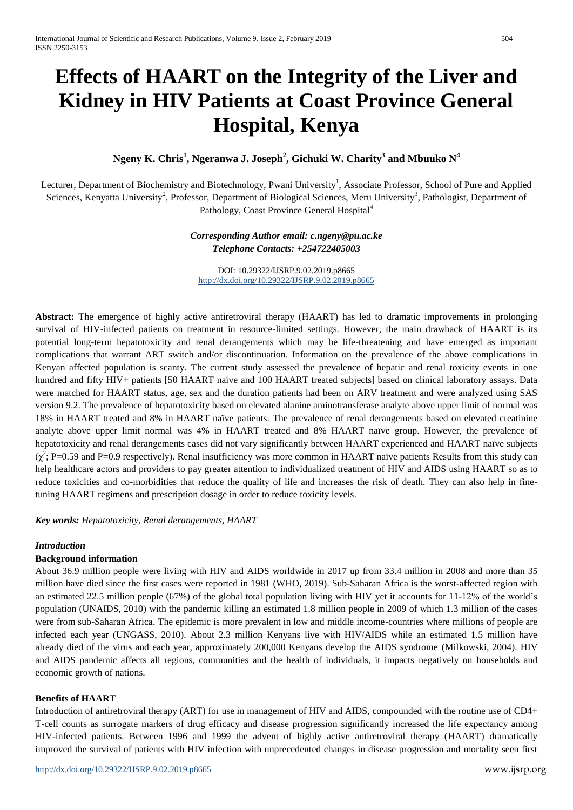# **Effects of HAART on the Integrity of the Liver and Kidney in HIV Patients at Coast Province General Hospital, Kenya**

# **Ngeny K. Chris<sup>1</sup> , Ngeranwa J. Joseph<sup>2</sup> , Gichuki W. Charity<sup>3</sup> and Mbuuko N 4**

Lecturer, Department of Biochemistry and Biotechnology, Pwani University<sup>1</sup>, Associate Professor, School of Pure and Applied Sciences, Kenyatta University<sup>2</sup>, Professor, Department of Biological Sciences, Meru University<sup>3</sup>, Pathologist, Department of Pathology, Coast Province General Hospital<sup>4</sup>

> *Corresponding Author email: c.ngeny@pu.ac.ke Telephone Contacts: +254722405003*

DOI: 10.29322/IJSRP.9.02.2019.p8665 <http://dx.doi.org/10.29322/IJSRP.9.02.2019.p8665>

**Abstract:** The emergence of highly active antiretroviral therapy (HAART) has led to dramatic improvements in prolonging survival of HIV-infected patients on treatment in resource-limited settings. However, the main drawback of HAART is its potential long-term hepatotoxicity and renal derangements which may be life-threatening and have emerged as important complications that warrant ART switch and/or discontinuation. Information on the prevalence of the above complications in Kenyan affected population is scanty. The current study assessed the prevalence of hepatic and renal toxicity events in one hundred and fifty HIV+ patients [50 HAART naïve and 100 HAART treated subjects] based on clinical laboratory assays. Data were matched for HAART status, age, sex and the duration patients had been on ARV treatment and were analyzed using SAS version 9.2. The prevalence of hepatotoxicity based on elevated alanine aminotransferase analyte above upper limit of normal was 18% in HAART treated and 8% in HAART naïve patients. The prevalence of renal derangements based on elevated creatinine analyte above upper limit normal was 4% in HAART treated and 8% HAART naïve group. However, the prevalence of hepatotoxicity and renal derangements cases did not vary significantly between HAART experienced and HAART naïve subjects  $(\chi^2; P=0.59$  and P=0.9 respectively). Renal insufficiency was more common in HAART naïve patients Results from this study can help healthcare actors and providers to pay greater attention to individualized treatment of HIV and AIDS using HAART so as to reduce toxicities and co-morbidities that reduce the quality of life and increases the risk of death. They can also help in finetuning HAART regimens and prescription dosage in order to reduce toxicity levels.

*Key words: Hepatotoxicity, Renal derangements, HAART*

# *Introduction*

# **Background information**

About 36.9 million people were living with HIV and AIDS worldwide in 2017 up from 33.4 million in 2008 and more than 35 million have died since the first cases were reported in 1981 (WHO, 2019). Sub-Saharan Africa is the worst-affected region with an estimated 22.5 million people (67%) of the global total population living with HIV yet it accounts for 11-12% of the world's population (UNAIDS, 2010) with the pandemic killing an estimated 1.8 million people in 2009 of which 1.3 million of the cases were from sub-Saharan Africa. The epidemic is more prevalent in low and middle income-countries where millions of people are infected each year (UNGASS, 2010). About 2.3 million Kenyans live with HIV/AIDS while an estimated 1.5 million have already died of the virus and each year, approximately 200,000 Kenyans develop the AIDS syndrome (Milkowski, 2004). HIV and AIDS pandemic affects all regions, communities and the health of individuals, it impacts negatively on households and economic growth of nations.

# **Benefits of HAART**

Introduction of antiretroviral therapy (ART) for use in management of HIV and AIDS, compounded with the routine use of CD4+ T-cell counts as surrogate markers of drug efficacy and disease progression significantly increased the life expectancy among HIV-infected patients. Between 1996 and 1999 the advent of highly active antiretroviral therapy (HAART) dramatically improved the survival of patients with HIV infection with unprecedented changes in disease progression and mortality seen first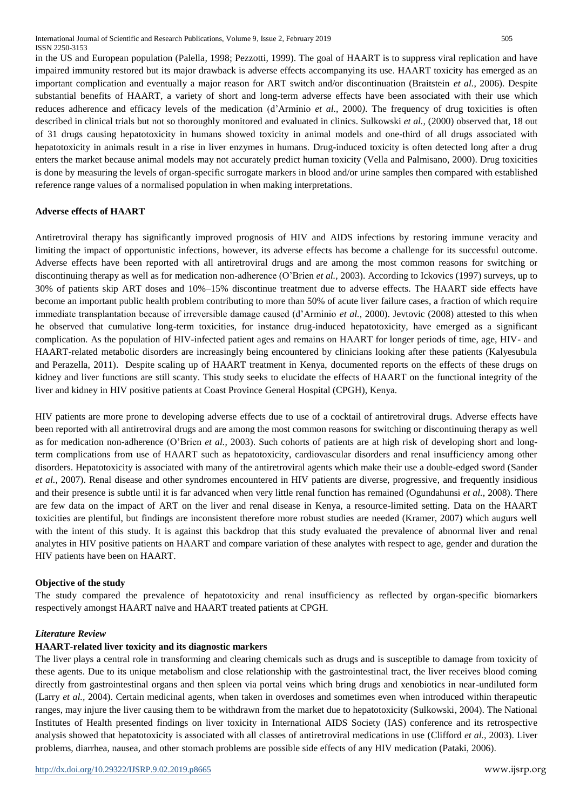in the US and European population (Palella*,* 1998; Pezzotti*,* 1999). The goal of HAART is to suppress viral replication and have impaired immunity restored but its major drawback is adverse effects accompanying its use. HAART toxicity has emerged as an important complication and eventually a major reason for ART switch and/or discontinuation (Braitstein *et al.*, 2006). Despite substantial benefits of HAART, a variety of short and long-term adverse effects have been associated with their use which reduces adherence and efficacy levels of the medication (d'Arminio *et al.,* 2000*)*. The frequency of drug toxicities is often described in clinical trials but not so thoroughly monitored and evaluated in clinics. Sulkowski *et al.,* (2000) observed that, 18 out of 31 drugs causing hepatotoxicity in humans showed toxicity in animal models and one-third of all drugs associated with hepatotoxicity in animals result in a rise in liver enzymes in humans. Drug-induced toxicity is often detected long after a drug enters the market because animal models may not accurately predict human toxicity (Vella and Palmisano, 2000). Drug toxicities is done by measuring the levels of organ-specific surrogate markers in blood and/or urine samples then compared with established reference range values of a normalised population in when making interpretations.

#### **Adverse effects of HAART**

Antiretroviral therapy has significantly improved prognosis of HIV and AIDS infections by restoring immune veracity and limiting the impact of opportunistic infections, however, its adverse effects has become a challenge for its successful outcome. Adverse effects have been reported with all antiretroviral drugs and are among the most common reasons for switching or discontinuing therapy as well as for medication non-adherence (O'Brien *et al.,* 2003). According to Ickovics (1997) surveys, up to 30% of patients skip ART doses and 10%–15% discontinue treatment due to adverse effects. The HAART side effects have become an important public health problem contributing to more than 50% of acute liver failure cases, a fraction of which require immediate transplantation because of irreversible damage caused (d'Arminio *et al.,* 2000). Jevtovic (2008) attested to this when he observed that cumulative long-term toxicities, for instance drug-induced hepatotoxicity, have emerged as a significant complication. As the population of HIV-infected patient ages and remains on HAART for longer periods of time, age, HIV- and HAART-related metabolic disorders are increasingly being encountered by clinicians looking after these patients (Kalyesubula and Perazella, 2011). Despite scaling up of HAART treatment in Kenya, documented reports on the effects of these drugs on kidney and liver functions are still scanty. This study seeks to elucidate the effects of HAART on the functional integrity of the liver and kidney in HIV positive patients at Coast Province General Hospital (CPGH), Kenya.

HIV patients are more prone to developing adverse effects due to use of a cocktail of antiretroviral drugs. Adverse effects have been reported with all antiretroviral drugs and are among the most common reasons for switching or discontinuing therapy as well as for medication non-adherence (O'Brien *et al.*, 2003). Such cohorts of patients are at high risk of developing short and longterm complications from use of HAART such as hepatotoxicity, cardiovascular disorders and renal insufficiency among other disorders. Hepatotoxicity is associated with many of the antiretroviral agents which make their use a double-edged sword (Sander *et al.,* 2007). Renal disease and other syndromes encountered in HIV patients are diverse, progressive, and frequently insidious and their presence is subtle until it is far advanced when very little renal function has remained (Ogundahunsi *et al.,* 2008). There are few data on the impact of ART on the liver and renal disease in Kenya, a resource-limited setting. Data on the HAART toxicities are plentiful, but findings are inconsistent therefore more robust studies are needed (Kramer, 2007) which augurs well with the intent of this study. It is against this backdrop that this study evaluated the prevalence of abnormal liver and renal analytes in HIV positive patients on HAART and compare variation of these analytes with respect to age, gender and duration the HIV patients have been on HAART.

#### **Objective of the study**

The study compared the prevalence of hepatotoxicity and renal insufficiency as reflected by organ-specific biomarkers respectively amongst HAART naïve and HAART treated patients at CPGH.

#### *Literature Review*

#### **HAART-related liver toxicity and its diagnostic markers**

The liver plays a central role in transforming and clearing chemicals such as drugs and is susceptible to damage from toxicity of these agents. Due to its unique metabolism and close relationship with the gastrointestinal tract, the liver receives blood coming directly from gastrointestinal organs and then spleen via portal veins which bring drugs and xenobiotics in near-undiluted form (Larry *et al.,* 2004). Certain medicinal agents, when taken in overdoses and sometimes even when introduced within therapeutic ranges, may injure the liver causing them to be withdrawn from the market due to hepatotoxicity (Sulkowski, 2004). The National Institutes of Health presented findings on liver toxicity in International AIDS Society (IAS) conference and its retrospective analysis showed that hepatotoxicity is associated with all classes of antiretroviral medications in use (Clifford *et al.,* 2003). Liver problems, diarrhea, nausea, and other stomach problems are possible side effects of any HIV medication (Pataki, 2006).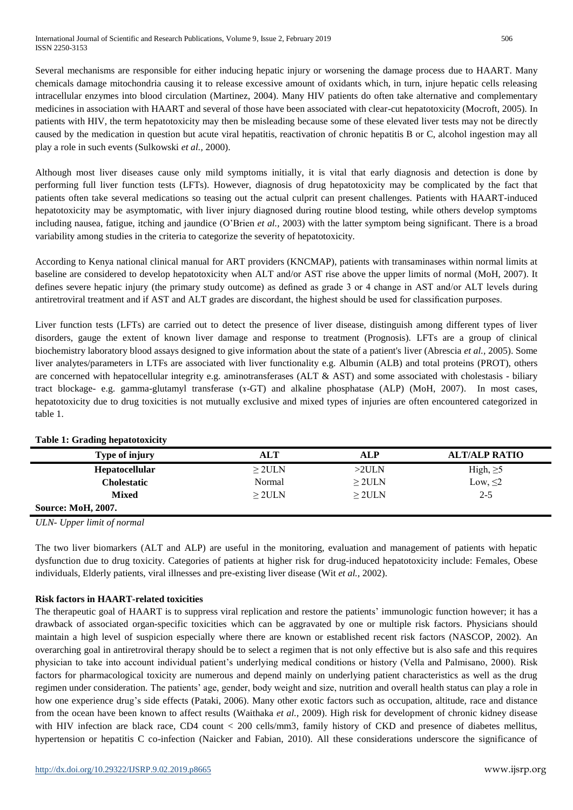Several mechanisms are responsible for either inducing hepatic injury or worsening the damage process due to HAART. Many chemicals damage mitochondria causing it to release excessive amount of oxidants which, in turn, injure hepatic cells releasing intracellular enzymes into blood circulation (Martinez, 2004). Many HIV patients do often take alternative and complementary medicines in association with HAART and several of those have been associated with clear-cut hepatotoxicity (Mocroft, 2005). In patients with HIV, the term hepatotoxicity may then be misleading because some of these elevated liver tests may not be directly caused by the medication in question but acute viral hepatitis, reactivation of chronic hepatitis B or C, alcohol ingestion may all play a role in such events (Sulkowski *et al.,* 2000).

Although most [liver diseases](http://en.wikipedia.org/wiki/Liver_disease) cause only mild symptoms initially, it is vital that early diagnosis and detection is done by performing full liver function tests (LFTs). However, diagnosis of drug hepatotoxicity may be complicated by the fact that patients often take several medications so teasing out the actual culprit can present challenges. Patients with HAART-induced hepatotoxicity may be asymptomatic, with liver injury diagnosed during routine blood testing, while others develop symptoms including nausea, fatigue, itching and jaundice (O'Brien *et al.,* 2003) with the latter symptom being significant. There is a broad variability among studies in the criteria to categorize the severity of hepatotoxicity.

According to Kenya national clinical manual for ART providers (KNCMAP), patients with transaminases within normal limits at baseline are considered to develop hepatotoxicity when ALT and/or AST rise above the upper limits of normal (MoH, 2007). It defines severe hepatic injury (the primary study outcome) as defined as grade 3 or 4 change in AST and/or ALT levels during antiretroviral treatment and if AST and ALT grades are discordant, the highest should be used for classification purposes.

Liver function tests (LFTs) are carried out to detect the presence of liver disease, distinguish among different types of liver disorders, gauge the extent of known liver damage and response to treatment (Prognosis). LFTs are a group of [clinical](http://en.wikipedia.org/wiki/Clinical_biochemistry)  [biochemistry](http://en.wikipedia.org/wiki/Clinical_biochemistry) laboratory blood assays designed to give information about the state of a patient's [liver](http://en.wikipedia.org/wiki/Liver) (Abrescia *et al.,* 2005). Some liver analytes/parameters in LTFs are associated with liver functionality e.g. Albumin (ALB) and total proteins (PROT), others are concerned with hepatocellular integrity e.g. amin[otransferases](http://en.wikipedia.org/wiki/Transaminase) (ALT  $\&$  AST) and some associated with cholestasis - biliary tract blockage- e.g. [gamma-glutamyl transferase](http://en.wikipedia.org/wiki/Gamma-glutamyl_transferase) (ɤ-GT) and [alkaline phosphatase](http://en.wikipedia.org/wiki/Alkaline_phosphatase) (ALP) (MoH, 2007). In most cases, hepatotoxicity due to drug toxicities is not mutually exclusive and mixed types of injuries are often encountered categorized in table 1.

| Table 1. Grading hepatotoxicity |              |              |                      |
|---------------------------------|--------------|--------------|----------------------|
| Type of injury                  | ALT          | ALP          | <b>ALT/ALP RATIO</b> |
| <b>Hepatocellular</b>           | $\geq 2$ ULN | $>2$ ULN     | High, $\geq 5$       |
| <b>Cholestatic</b>              | Normal       | $\geq 2$ ULN | Low, $\leq 2$        |
| <b>Mixed</b>                    | $>2$ ULN     | $\geq 2$ ULN | $2 - 5$              |
| <b>Source: MoH, 2007.</b>       |              |              |                      |

# **Table 1: Grading hepatotoxicity**

*ULN- Upper limit of normal*

The two liver biomarkers (ALT and ALP) are useful in the monitoring, evaluation and management of patients with hepatic dysfunction due to drug toxicity. Categories of patients at higher risk for drug-induced hepatotoxicity include: Females, Obese individuals, Elderly patients, viral illnesses and pre-existing liver disease (Wit *et al.,* 2002).

#### **Risk factors in HAART-related toxicities**

The therapeutic goal of HAART is to suppress viral replication and restore the patients' immunologic function however; it has a drawback of associated organ-specific toxicities which can be aggravated by one or multiple risk factors. Physicians should maintain a high level of suspicion especially where there are known or established recent risk factors (NASCOP, 2002). An overarching goal in antiretroviral therapy should be to select a regimen that is not only effective but is also safe and this requires physician to take into account individual patient's underlying medical conditions or history (Vella and Palmisano, 2000). Risk factors for pharmacological toxicity are numerous and depend mainly on underlying patient characteristics as well as the drug regimen under consideration. The patients' age, gender, body weight and size, nutrition and overall health status can play a role in how one experience drug's side effects (Pataki, 2006). Many other exotic factors such as occupation, altitude, race and distance from the ocean have been known to affect results (Waithaka *et al.,* 2009). High risk for development of chronic kidney disease with HIV infection are black race, CD4 count < 200 cells/mm3, family history of CKD and presence of diabetes mellitus, hypertension or hepatitis C co-infection (Naicker and Fabian, 2010). All these considerations underscore the significance of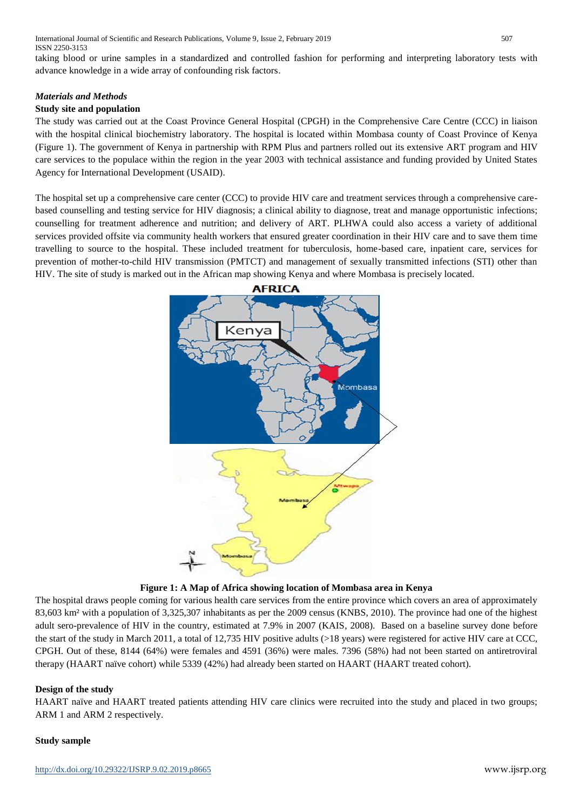International Journal of Scientific and Research Publications, Volume 9, Issue 2, February 2019 507 ISSN 2250-3153

taking blood or urine samples in a standardized and controlled fashion for performing and interpreting laboratory tests with advance knowledge in a wide array of confounding risk factors.

#### *Materials and Methods*

#### **Study site and population**

The study was carried out at the Coast Province General Hospital (CPGH) in the Comprehensive Care Centre (CCC) in liaison with the hospital clinical biochemistry laboratory. The hospital is located within Mombasa county of Coast Province of Kenya (Figure 1). The government of Kenya in partnership with RPM Plus and partners rolled out its extensive ART program and HIV care services to the populace within the region in the year 2003 with technical assistance and funding provided by United States Agency for International Development (USAID).

The hospital set up a comprehensive care center (CCC) to provide HIV care and treatment services through a comprehensive carebased counselling and testing service for HIV diagnosis; a clinical ability to diagnose, treat and manage opportunistic infections; counselling for treatment adherence and nutrition; and delivery of ART. PLHWA could also access a variety of additional services provided offsite via community health workers that ensured greater coordination in their HIV care and to save them time travelling to source to the hospital. These included treatment for tuberculosis, home-based care, inpatient care, services for prevention of mother-to-child HIV transmission (PMTCT) and management of sexually transmitted infections (STI) other than HIV. The site of study is marked out in the African map showing Kenya and where Mombasa is precisely located.





The hospital draws people coming for various health care services from the entire province which covers an area of approximately 83,603 km² with a population of 3,325,307 inhabitants as per the 2009 census (KNBS, 2010). The province had one of the highest adult sero-prevalence of HIV in the country, estimated at 7.9% in 2007 (KAIS, 2008). Based on a baseline survey done before the start of the study in March 2011, a total of 12,735 HIV positive adults (>18 years) were registered for active HIV care at CCC, CPGH. Out of these, 8144 (64%) were females and 4591 (36%) were males. 7396 (58%) had not been started on antiretroviral therapy (HAART naïve cohort) while 5339 (42%) had already been started on HAART (HAART treated cohort).

# **Design of the study**

HAART naïve and HAART treated patients attending HIV care clinics were recruited into the study and placed in two groups; ARM 1 and ARM 2 respectively.

# **Study sample**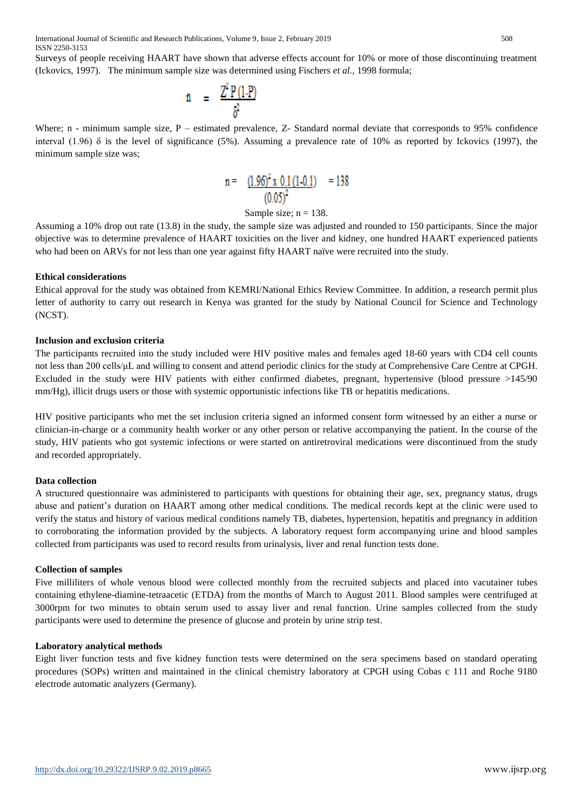Surveys of people receiving HAART have shown that adverse effects account for 10% or more of those discontinuing treatment (Ickovics, 1997). The minimum sample size was determined using Fischers *et al.,* 1998 formula;

$$
n = \frac{Z^2 P(1-P)}{\delta^2}
$$

Where; n - minimum sample size, P – estimated prevalence, Z- Standard normal deviate that corresponds to 95% confidence interval  $(1.96)$  δ is the level of significance  $(5%)$ . Assuming a prevalence rate of 10% as reported by Ickovics (1997), the minimum sample size was;

$$
n = \frac{(1.96)^2 \times 0.1(1.0.1)}{(0.05)^2} = 138
$$

Sample size;  $n = 138$ .

Assuming a 10% drop out rate (13.8) in the study, the sample size was adjusted and rounded to 150 participants. Since the major objective was to determine prevalence of HAART toxicities on the liver and kidney, one hundred HAART experienced patients who had been on ARVs for not less than one year against fifty HAART naïve were recruited into the study.

#### **Ethical considerations**

Ethical approval for the study was obtained from KEMRI/National Ethics Review Committee. In addition, a research permit plus letter of authority to carry out research in Kenya was granted for the study by National Council for Science and Technology (NCST).

#### **Inclusion and exclusion criteria**

The participants recruited into the study included were HIV positive males and females aged 18-60 years with CD4 cell counts not less than 200 cells/μL and willing to consent and attend periodic clinics for the study at Comprehensive Care Centre at CPGH. Excluded in the study were HIV patients with either confirmed diabetes, pregnant, hypertensive (blood pressure >145/90 mm/Hg), illicit drugs users or those with systemic opportunistic infections like TB or hepatitis medications.

HIV positive participants who met the set inclusion criteria signed an informed consent form witnessed by an either a nurse or clinician-in-charge or a community health worker or any other person or relative accompanying the patient. In the course of the study, HIV patients who got systemic infections or were started on antiretroviral medications were discontinued from the study and recorded appropriately.

#### **Data collection**

A structured questionnaire was administered to participants with questions for obtaining their age, sex, pregnancy status, drugs abuse and patient's duration on HAART among other medical conditions. The medical records kept at the clinic were used to verify the status and history of various medical conditions namely TB, diabetes, hypertension, hepatitis and pregnancy in addition to corroborating the information provided by the subjects. A laboratory request form accompanying urine and blood samples collected from participants was used to record results from urinalysis, liver and renal function tests done.

#### **Collection of samples**

Five milliliters of whole venous blood were collected monthly from the recruited subjects and placed into vacutainer tubes containing ethylene-diamine-tetraacetic (ETDA) from the months of March to August 2011. Blood samples were centrifuged at 3000rpm for two minutes to obtain serum used to assay liver and renal function. Urine samples collected from the study participants were used to determine the presence of glucose and protein by urine strip test.

#### **Laboratory analytical methods**

Eight liver function tests and five kidney function tests were determined on the sera specimens based on standard operating procedures (SOPs) written and maintained in the clinical chemistry laboratory at CPGH using Cobas c 111 and Roche 9180 electrode automatic analyzers (Germany).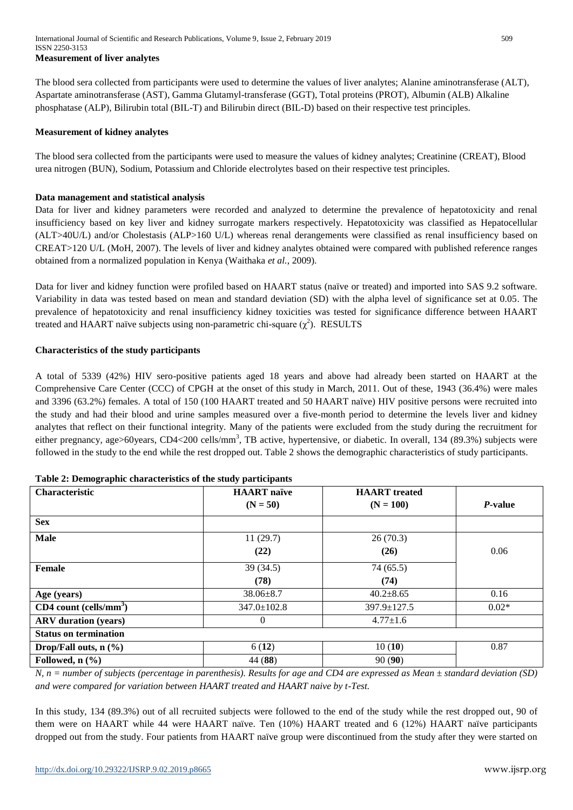The blood sera collected from participants were used to determine the values of liver analytes; Alanine aminotransferase (ALT), Aspartate aminotransferase (AST), Gamma Glutamyl-transferase (GGT), Total proteins (PROT), Albumin (ALB) Alkaline phosphatase (ALP), Bilirubin total (BIL-T) and Bilirubin direct (BIL-D) based on their respective test principles.

#### **Measurement of kidney analytes**

The blood sera collected from the participants were used to measure the values of kidney analytes; Creatinine (CREAT), Blood urea nitrogen (BUN), Sodium, Potassium and Chloride electrolytes based on their respective test principles.

#### **Data management and statistical analysis**

Data for liver and kidney parameters were recorded and analyzed to determine the prevalence of hepatotoxicity and renal insufficiency based on key liver and kidney surrogate markers respectively. Hepatotoxicity was classified as Hepatocellular (ALT>40U/L) and/or Cholestasis (ALP>160 U/L) whereas renal derangements were classified as renal insufficiency based on CREAT>120 U/L (MoH, 2007). The levels of liver and kidney analytes obtained were compared with published reference ranges obtained from a normalized population in Kenya (Waithaka *et al.*, 2009).

Data for liver and kidney function were profiled based on HAART status (naïve or treated) and imported into SAS 9.2 software. Variability in data was tested based on mean and standard deviation (SD) with the alpha level of significance set at 0.05. The prevalence of hepatotoxicity and renal insufficiency kidney toxicities was tested for significance difference between HAART treated and HAART naïve subjects using non-parametric chi-square  $(\chi^2)$ . RESULTS

#### **Characteristics of the study participants**

A total of 5339 (42%) HIV sero-positive patients aged 18 years and above had already been started on HAART at the Comprehensive Care Center (CCC) of CPGH at the onset of this study in March, 2011. Out of these, 1943 (36.4%) were males and 3396 (63.2%) females. A total of 150 (100 HAART treated and 50 HAART naïve) HIV positive persons were recruited into the study and had their blood and urine samples measured over a five-month period to determine the levels liver and kidney analytes that reflect on their functional integrity. Many of the patients were excluded from the study during the recruitment for either pregnancy, age>60years, CD4<200 cells/mm<sup>3</sup>, TB active, hypertensive, or diabetic. In overall, 134 (89.3%) subjects were followed in the study to the end while the rest dropped out. Table 2 shows the demographic characteristics of study participants.

| Characteristic                       | <b>HAART</b> naïve | <b>HAART</b> treated |         |
|--------------------------------------|--------------------|----------------------|---------|
|                                      | $(N = 50)$         | $(N = 100)$          | P-value |
| <b>Sex</b>                           |                    |                      |         |
| <b>Male</b>                          | 11(29.7)           | 26(70.3)             |         |
|                                      | (22)               | (26)                 | 0.06    |
| <b>Female</b>                        | 39(34.5)           | 74(65.5)             |         |
|                                      | (78)               | (74)                 |         |
| Age (years)                          | $38.06 \pm 8.7$    | $40.2 \pm 8.65$      | 0.16    |
| $CD4$ count (cells/mm <sup>3</sup> ) | $347.0 \pm 102.8$  | $397.9 \pm 127.5$    | $0.02*$ |
| <b>ARV</b> duration (years)          | $\Omega$           | $4.77 \pm 1.6$       |         |
| <b>Status on termination</b>         |                    |                      |         |
| Drop/Fall outs, $n$ (%)              | 6(12)              | 10(10)               | 0.87    |
| Followed, $n$ $(\frac{9}{6})$        | 44 (88)            | 90(90)               |         |

| Table 2: Demographic characteristics of the study participants |  |  |  |
|----------------------------------------------------------------|--|--|--|
|                                                                |  |  |  |

*N, n = number of subjects (percentage in parenthesis). Results for age and CD4 are expressed as Mean ± standard deviation (SD) and were compared for variation between HAART treated and HAART naive by t-Test.* 

In this study, 134 (89.3%) out of all recruited subjects were followed to the end of the study while the rest dropped out, 90 of them were on HAART while 44 were HAART naïve. Ten (10%) HAART treated and 6 (12%) HAART naïve participants dropped out from the study. Four patients from HAART naïve group were discontinued from the study after they were started on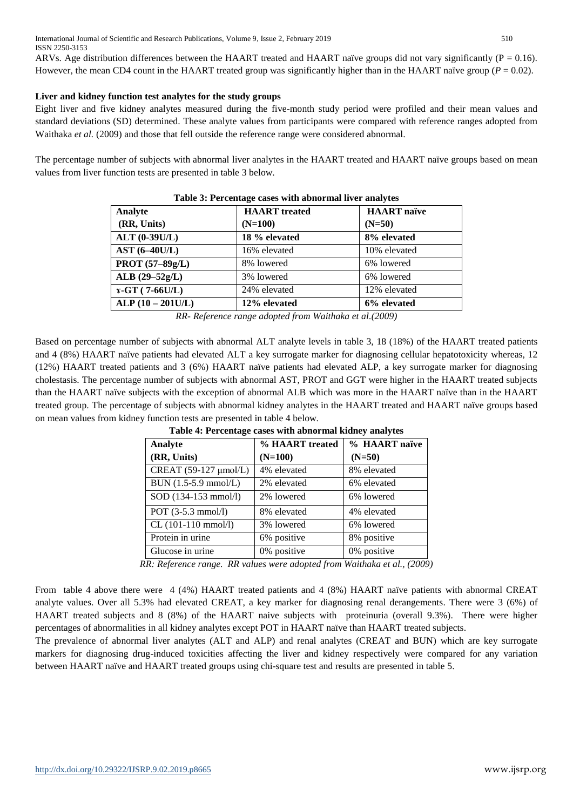ARVs. Age distribution differences between the HAART treated and HAART naïve groups did not vary significantly ( $P = 0.16$ ). However, the mean CD4 count in the HAART treated group was significantly higher than in the HAART naïve group  $(P = 0.02)$ .

#### **Liver and kidney function test analytes for the study groups**

Eight liver and five kidney analytes measured during the five-month study period were profiled and their mean values and standard deviations (SD) determined. These analyte values from participants were compared with reference ranges adopted from Waithaka *et al.* (2009) and those that fell outside the reference range were considered abnormal.

The percentage number of subjects with abnormal liver analytes in the HAART treated and HAART naïve groups based on mean values from liver function tests are presented in table 3 below.

| Table 5: I creentage cases with abnormal fiver analytes |                      |                    |  |
|---------------------------------------------------------|----------------------|--------------------|--|
| Analyte                                                 | <b>HAART</b> treated | <b>HAART</b> naïve |  |
| (RR, Units)                                             | $(N=100)$            | $(N=50)$           |  |
| <b>ALT (0-39U/L)</b>                                    | 18 % elevated        | 8% elevated        |  |
| $AST (6-40U/L)$                                         | 16% elevated         | 10% elevated       |  |
| PROT (57-89g/L)                                         | 8% lowered           | 6% lowered         |  |
| $ALB (29 - 52g/L)$                                      | 3% lowered           | 6% lowered         |  |
| $r$ -GT (7-66U/L)                                       | 24% elevated         | 12% elevated       |  |
| $ALP(10-201U/L)$                                        | 12% elevated         | 6% elevated        |  |

*RR- Reference range adopted from Waithaka et al.(2009)*

Based on percentage number of subjects with abnormal ALT analyte levels in table 3, 18 (18%) of the HAART treated patients and 4 (8%) HAART naïve patients had elevated ALT a key surrogate marker for diagnosing cellular hepatotoxicity whereas, 12 (12%) HAART treated patients and 3 (6%) HAART naïve patients had elevated ALP, a key surrogate marker for diagnosing cholestasis. The percentage number of subjects with abnormal AST, PROT and GGT were higher in the HAART treated subjects than the HAART naïve subjects with the exception of abnormal ALB which was more in the HAART naïve than in the HAART treated group. The percentage of subjects with abnormal kidney analytes in the HAART treated and HAART naïve groups based on mean values from kidney function tests are presented in table 4 below.

| Analyte                      | % HAART treated | % HAART naïve |
|------------------------------|-----------------|---------------|
| (RR, Units)                  | $(N=100)$       | $(N=50)$      |
| CREAT (59-127 µmol/L)        | 4% elevated     | 8% elevated   |
| BUN (1.5-5.9 mmol/L)         | 2% elevated     | 6% elevated   |
| SOD (134-153 mmol/l)         | 2% lowered      | 6% lowered    |
| POT $(3-5.3 \text{ mmol/l})$ | 8% elevated     | 4% elevated   |
| CL (101-110 mmol/l)          | 3% lowered      | 6% lowered    |
| Protein in urine             | 6% positive     | 8% positive   |
| Glucose in urine             | 0% positive     | 0% positive   |

**Table 4: Percentage cases with abnormal kidney analytes**

*RR: Reference range. RR values were adopted from Waithaka et al., (2009)*

From table 4 above there were 4 (4%) HAART treated patients and 4 (8%) HAART naïve patients with abnormal CREAT analyte values. Over all 5.3% had elevated CREAT, a key marker for diagnosing renal derangements. There were 3 (6%) of HAART treated subjects and 8 (8%) of the HAART naive subjects with proteinuria (overall 9.3%). There were higher percentages of abnormalities in all kidney analytes except POT in HAART naïve than HAART treated subjects.

The prevalence of abnormal liver analytes (ALT and ALP) and renal analytes (CREAT and BUN) which are key surrogate markers for diagnosing drug-induced toxicities affecting the liver and kidney respectively were compared for any variation between HAART naïve and HAART treated groups using chi-square test and results are presented in table 5.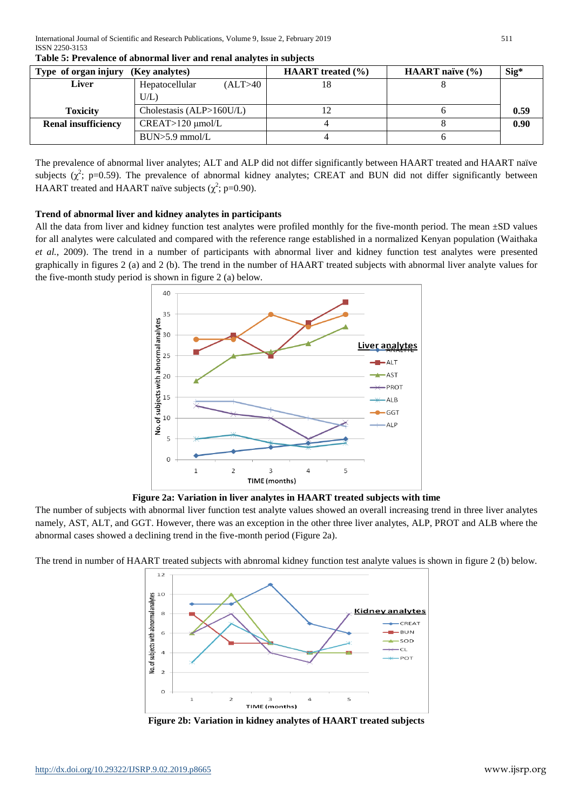| Type of organ injury<br>(Key analytes) |                            | <b>HAART</b> treated $(\% )$ | <b>HAART</b> naïve $(\% )$ | $Sig^*$ |
|----------------------------------------|----------------------------|------------------------------|----------------------------|---------|
| Liver                                  | Hepatocellular<br>ALT>40   |                              |                            |         |
|                                        | UL                         |                              |                            |         |
| <b>Toxicity</b>                        | Cholestasis $(ALP>160U/L)$ |                              |                            | 0.59    |
| <b>Renal insufficiency</b>             | $CREAT > 120 \mu mol/L$    |                              |                            | 0.90    |
|                                        | $BUN > 5.9$ mmol/L         |                              |                            |         |

**Table 5: Prevalence of abnormal liver and renal analytes in subjects** 

The prevalence of abnormal liver analytes; ALT and ALP did not differ significantly between HAART treated and HAART naïve subjects ( $\chi^2$ ; p=0.59). The prevalence of abnormal kidney analytes; CREAT and BUN did not differ significantly between HAART treated and HAART naïve subjects  $(\chi^2; p=0.90)$ .

### **Trend of abnormal liver and kidney analytes in participants**

All the data from liver and kidney function test analytes were profiled monthly for the five-month period. The mean  $\pm SD$  values for all analytes were calculated and compared with the reference range established in a normalized Kenyan population (Waithaka *et al.*, 2009). The trend in a number of participants with abnormal liver and kidney function test analytes were presented graphically in figures 2 (a) and 2 (b). The trend in the number of HAART treated subjects with abnormal liver analyte values for the five-month study period is shown in figure 2 (a) below.



**Figure 2a: Variation in liver analytes in HAART treated subjects with time** 

The number of subjects with abnormal liver function test analyte values showed an overall increasing trend in three liver analytes namely, AST, ALT, and GGT. However, there was an exception in the other three liver analytes, ALP, PROT and ALB where the abnormal cases showed a declining trend in the five-month period (Figure 2a).

The trend in number of HAART treated subjects with abnromal kidney function test analyte values is shown in figure 2 (b) below.



**Figure 2b: Variation in kidney analytes of HAART treated subjects**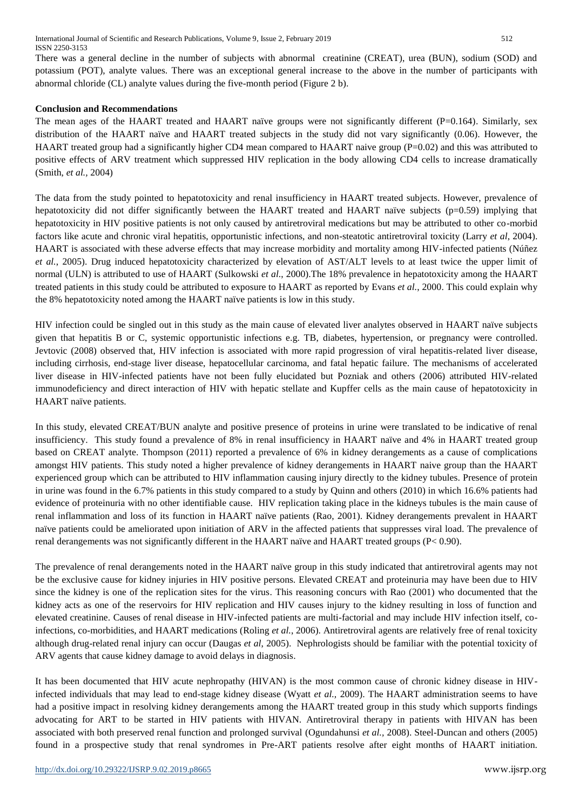There was a general decline in the number of subjects with abnormal creatinine (CREAT), urea (BUN), sodium (SOD) and potassium (POT), analyte values. There was an exceptional general increase to the above in the number of participants with abnormal chloride (CL) analyte values during the five-month period (Figure 2 b).

#### **Conclusion and Recommendations**

The mean ages of the HAART treated and HAART naïve groups were not significantly different  $(P=0.164)$ . Similarly, sex distribution of the HAART naïve and HAART treated subjects in the study did not vary significantly (0.06). However, the HAART treated group had a significantly higher CD4 mean compared to HAART naive group (P=0.02) and this was attributed to positive effects of ARV treatment which suppressed HIV replication in the body allowing CD4 cells to increase dramatically (Smith, *et al.,* 2004)

The data from the study pointed to hepatotoxicity and renal insufficiency in HAART treated subjects. However, prevalence of hepatotoxicity did not differ significantly between the HAART treated and HAART naïve subjects (p=0.59) implying that hepatotoxicity in HIV positive patients is not only caused by antiretroviral medications but may be attributed to other co-morbid factors like acute and chronic viral hepatitis, opportunistic infections, and non-steatotic antiretroviral toxicity (Larry *et al*, 2004). HAART is associated with these adverse effects that may increase morbidity and mortality among HIV-infected patients (Núñez *et al.*, 2005). Drug induced hepatotoxicity characterized by elevation of AST/ALT levels to at least twice the upper limit of normal (ULN) is attributed to use of HAART (Sulkowski *et al*., 2000).The 18% prevalence in hepatotoxicity among the HAART treated patients in this study could be attributed to exposure to HAART as reported by Evans *et al.*, 2000. This could explain why the 8% hepatotoxicity noted among the HAART naïve patients is low in this study.

HIV infection could be singled out in this study as the main cause of elevated liver analytes observed in HAART naïve subjects given that hepatitis B or C, systemic opportunistic infections e.g. TB, diabetes, hypertension, or pregnancy were controlled. Jevtovic (2008) observed that, HIV infection is associated with more rapid progression of viral hepatitis-related liver disease, including cirrhosis, end-stage liver disease, hepatocellular carcinoma, and fatal hepatic failure. The mechanisms of accelerated liver disease in HIV-infected patients have not been fully elucidated but Pozniak and others (2006) attributed HIV-related immunodeficiency and direct interaction of HIV with hepatic stellate and Kupffer cells as the main cause of hepatotoxicity in HAART naïve patients.

In this study, elevated CREAT/BUN analyte and positive presence of proteins in urine were translated to be indicative of renal insufficiency. This study found a prevalence of 8% in renal insufficiency in HAART naïve and 4% in HAART treated group based on CREAT analyte. Thompson (2011) reported a prevalence of 6% in kidney derangements as a cause of complications amongst HIV patients. This study noted a higher prevalence of kidney derangements in HAART naive group than the HAART experienced group which can be attributed to HIV inflammation causing injury directly to the kidney tubules. Presence of protein in urine was found in the 6.7% patients in this study compared to a study by Quinn and others (2010) in which 16.6% patients had evidence of proteinuria with no other identifiable cause. HIV replication taking place in the kidneys tubules is the main cause of renal inflammation and loss of its function in HAART naïve patients (Rao, 2001). Kidney derangements prevalent in HAART naïve patients could be ameliorated upon initiation of ARV in the affected patients that suppresses viral load. The prevalence of renal derangements was not significantly different in the HAART naïve and HAART treated groups (P< 0.90).

The prevalence of renal derangements noted in the HAART naïve group in this study indicated that antiretroviral agents may not be the exclusive cause for kidney injuries in HIV positive persons. Elevated CREAT and proteinuria may have been due to HIV since the kidney is one of the replication sites for the virus. This reasoning concurs with Rao (2001) who documented that the kidney acts as one of the reservoirs for HIV replication and HIV causes injury to the kidney resulting in loss of function and elevated creatinine. Causes of renal disease in HIV-infected patients are multi-factorial and may include HIV infection itself, coinfections, co-morbidities, and HAART medications (Roling *et al.*, 2006). Antiretroviral agents are relatively free of renal toxicity although drug-related renal injury can occur (Daugas *et al*, 2005). Nephrologists should be familiar with the potential toxicity of ARV agents that cause kidney damage to avoid delays in diagnosis.

It has been documented that HIV acute nephropathy (HIVAN) is the most common cause of chronic kidney disease in HIVinfected individuals that may lead to end-stage kidney disease (Wyatt *et al.,* 2009). The HAART administration seems to have had a positive impact in resolving kidney derangements among the HAART treated group in this study which supports findings advocating for ART to be started in HIV patients with HIVAN. Antiretroviral therapy in patients with HIVAN has been associated with both preserved renal function and prolonged survival (Ogundahunsi *et al.,* 2008). Steel-Duncan and others (2005) found in a prospective study that renal syndromes in Pre-ART patients resolve after eight months of HAART initiation.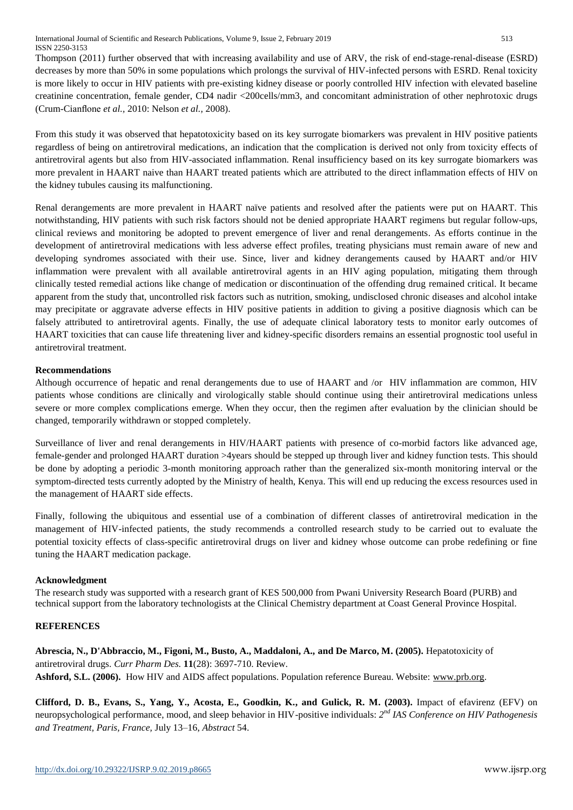Thompson (2011) further observed that with increasing availability and use of ARV, the risk of end-stage-renal-disease (ESRD) decreases by more than 50% in some populations which prolongs the survival of HIV-infected persons with ESRD. Renal toxicity is more likely to occur in HIV patients with pre-existing kidney disease or poorly controlled HIV infection with elevated baseline creatinine concentration, female gender, CD4 nadir <200cells/mm3, and concomitant administration of other nephrotoxic drugs (Crum-Cianflone *et al.,* 2010: Nelson *et al.,* 2008).

From this study it was observed that hepatotoxicity based on its key surrogate biomarkers was prevalent in HIV positive patients regardless of being on antiretroviral medications, an indication that the complication is derived not only from toxicity effects of antiretroviral agents but also from HIV-associated inflammation. Renal insufficiency based on its key surrogate biomarkers was more prevalent in HAART naive than HAART treated patients which are attributed to the direct inflammation effects of HIV on the kidney tubules causing its malfunctioning.

Renal derangements are more prevalent in HAART naïve patients and resolved after the patients were put on HAART. This notwithstanding, HIV patients with such risk factors should not be denied appropriate HAART regimens but regular follow-ups, clinical reviews and monitoring be adopted to prevent emergence of liver and renal derangements. As efforts continue in the development of antiretroviral medications with less adverse effect profiles, treating physicians must remain aware of new and developing syndromes associated with their use. Since, liver and kidney derangements caused by HAART and/or HIV inflammation were prevalent with all available antiretroviral agents in an HIV aging population, mitigating them through clinically tested remedial actions like change of medication or discontinuation of the offending drug remained critical. It became apparent from the study that, uncontrolled risk factors such as nutrition, smoking, undisclosed chronic diseases and alcohol intake may precipitate or aggravate adverse effects in HIV positive patients in addition to giving a positive diagnosis which can be falsely attributed to antiretroviral agents. Finally, the use of adequate clinical laboratory tests to monitor early outcomes of HAART toxicities that can cause life threatening liver and kidney-specific disorders remains an essential prognostic tool useful in antiretroviral treatment.

#### **Recommendations**

Although occurrence of hepatic and renal derangements due to use of HAART and /or HIV inflammation are common, HIV patients whose conditions are clinically and virologically stable should continue using their antiretroviral medications unless severe or more complex complications emerge. When they occur, then the regimen after evaluation by the clinician should be changed, temporarily withdrawn or stopped completely.

Surveillance of liver and renal derangements in HIV/HAART patients with presence of co-morbid factors like advanced age, female-gender and prolonged HAART duration >4years should be stepped up through liver and kidney function tests. This should be done by adopting a periodic 3-month monitoring approach rather than the generalized six-month monitoring interval or the symptom-directed tests currently adopted by the Ministry of health, Kenya. This will end up reducing the excess resources used in the management of HAART side effects.

Finally, following the ubiquitous and essential use of a combination of different classes of antiretroviral medication in the management of HIV-infected patients, the study recommends a controlled research study to be carried out to evaluate the potential toxicity effects of class-specific antiretroviral drugs on liver and kidney whose outcome can probe redefining or fine tuning the HAART medication package.

# **Acknowledgment**

The research study was supported with a research grant of KES 500,000 from Pwani University Research Board (PURB) and technical support from the laboratory technologists at the Clinical Chemistry department at Coast General Province Hospital.

# **REFERENCES**

**Abrescia, N., D'Abbraccio, M., Figoni, M., Busto, A., Maddaloni, A., and De Marco, M. (2005).** Hepatotoxicity of antiretroviral drugs. *Curr Pharm Des.* **11**(28): 3697-710. Review. **Ashford, S.L. (2006).** How HIV and AIDS affect populations. Population reference Bureau. Website: [www.prb.org.](http://www.prb.org/) 

**Clifford, D. B., Evans, S., Yang, Y., Acosta, E., Goodkin, K., and Gulick, R. M. (2003).** Impact of efavirenz (EFV) on neuropsychological performance, mood, and sleep behavior in HIV-positive individuals: *2 nd IAS Conference on HIV Pathogenesis and Treatment, Paris, France,* July 13–16, *Abstract* 54.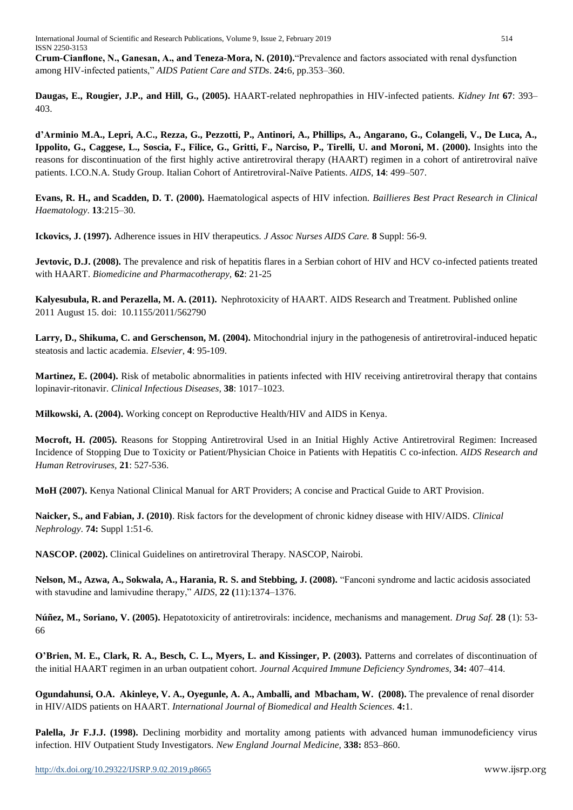**Crum-Cianflone, N., Ganesan, A., and Teneza-Mora, N. (2010).**"Prevalence and factors associated with renal dysfunction among HIV-infected patients," *AIDS Patient Care and STDs*. **24:**6, pp.353–360.

**Daugas, E., Rougier, J.P., and Hill, G., (2005).** HAART-related nephropathies in HIV-infected patients. *Kidney Int* **67**: 393– 403.

**d'Arminio M.A., Lepri, A.C., Rezza, G., Pezzotti, P., Antinori, A., Phillips, A., Angarano, G., Colangeli, V., De Luca, A., Ippolito, G., Caggese, L., Soscia, F., Filice, G., Gritti, F., Narciso, P., Tirelli, U. and Moroni, M. (2000).** Insights into the reasons for discontinuation of the first highly active antiretroviral therapy (HAART) regimen in a cohort of antiretroviral naïve patients. I.CO.N.A. Study Group. Italian Cohort of Antiretroviral-Naïve Patients. *AIDS*, **14**: 499–507.

**Evans, R. H., and Scadden, D. T. (2000).** Haematological aspects of HIV infection. *Baillieres Best Pract Research in Clinical Haematology*. **13**:215–30.

**Ickovics, J. (1997).** Adherence issues in HIV therapeutics*. J Assoc Nurses AIDS Care.* **8** Suppl: 56*-*9*.*

**Jevtovic, D.J. (2008).** The prevalence and risk of hepatitis flares in a Serbian cohort of HIV and HCV co-infected patients treated with HAART. *Biomedicine and Pharmacotherapy,* **62**: 21-25

**Kalyesubula, R. and Perazella, M. A. (2011).** Nephrotoxicity of HAART. AIDS Research and Treatment. Published online 2011 August 15. doi: 10.1155/2011/562790

**Larry, D., Shikuma, C. and Gerschenson, M. (2004).** Mitochondrial injury in the pathogenesis of antiretroviral-induced hepatic steatosis and lactic academia. *Elsevier*, **4**: 95-109.

**Martinez, E. (2004).** Risk of metabolic abnormalities in patients infected with HIV receiving antiretroviral therapy that contains lopinavir-ritonavir. *Clinical Infectious Diseases,* **38**: 1017–1023.

**Milkowski, A. (2004).** Working concept on Reproductive Health/HIV and AIDS in Kenya.

**Mocroft, H.** *(***2005).** Reasons for Stopping Antiretroviral Used in an Initial Highly Active Antiretroviral Regimen: Increased Incidence of Stopping Due to Toxicity or Patient/Physician Choice in Patients with Hepatitis C co-infection. *AIDS Research and Human Retroviruses,* **21**: 527-536.

**MoH (2007).** Kenya National Clinical Manual for ART Providers; A concise and Practical Guide to ART Provision.

**Naicker, S., and Fabian, J. (2010)**. Risk factors for the development of chronic kidney disease with HIV/AIDS. *Clinical Nephrology*. **74:** Suppl 1:51-6.

**NASCOP. (2002).** Clinical Guidelines on antiretroviral Therapy. NASCOP, Nairobi.

**Nelson, M., Azwa, A., Sokwala, A., Harania, R. S. and Stebbing, J. (2008).** "Fanconi syndrome and lactic acidosis associated with stavudine and lamivudine therapy," *AIDS*, **22 (**11):1374–1376.

**Núñez, M., Soriano, V. (2005).** Hepatotoxicity of antiretrovirals: incidence, mechanisms and management. *Drug Saf.* **28** (1): 53- 66

**O'Brien, M. E., Clark, R. A., Besch, C. L., Myers, L. and Kissinger, P. (2003).** Patterns and correlates of discontinuation of the initial HAART regimen in an urban outpatient cohort. *Journal Acquired Immune Deficiency Syndromes,* **34:** 407–414.

**Ogundahunsi, O.A. Akinleye, V. A., Oyegunle, A. A., Amballi, and Mbacham, W. (2008).** The prevalence of renal disorder in HIV/AIDS patients on HAART. *International Journal of Biomedical and Health Sciences.* **4:**1.

Palella, Jr F.J.J. (1998). Declining morbidity and mortality among patients with advanced human immunodeficiency virus infection. HIV Outpatient Study Investigators. *New England Journal Medicine,* **338:** 853–860.